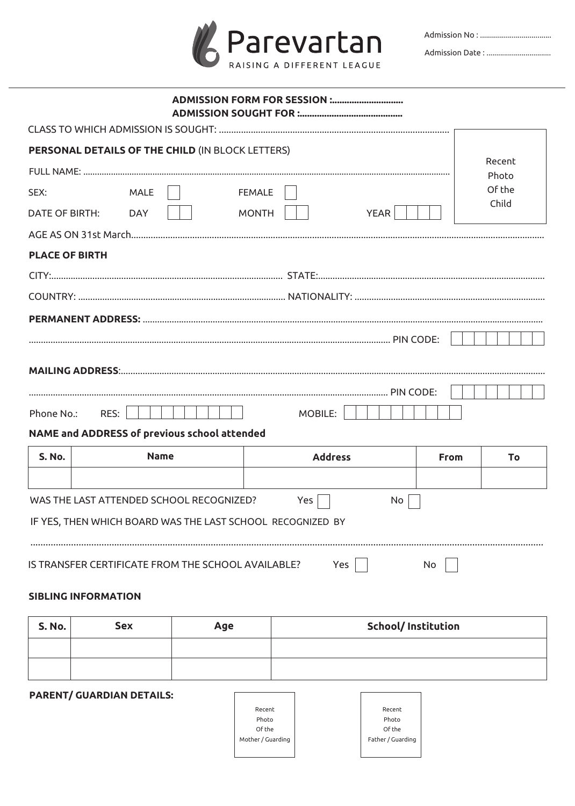

|                                                                               | PERSONAL DETAILS OF THE CHILD (IN BLOCK LETTERS)                                                       |                             |             |                 |
|-------------------------------------------------------------------------------|--------------------------------------------------------------------------------------------------------|-----------------------------|-------------|-----------------|
|                                                                               |                                                                                                        |                             |             | Recent<br>Photo |
| SEX:                                                                          | <b>MALE</b>                                                                                            | <b>FEMALE</b>               |             | Of the          |
| <b>DATE OF BIRTH:</b>                                                         | <b>DAY</b>                                                                                             | <b>MONTH</b><br><b>YEAR</b> |             | Child           |
|                                                                               |                                                                                                        |                             |             |                 |
| <b>PLACE OF BIRTH</b>                                                         |                                                                                                        |                             |             |                 |
|                                                                               |                                                                                                        |                             |             |                 |
|                                                                               |                                                                                                        |                             |             |                 |
|                                                                               |                                                                                                        |                             |             |                 |
| Phone No.:<br>RES:<br>MOBILE:<br>NAME and ADDRESS of previous school attended |                                                                                                        |                             |             |                 |
| <b>S. No.</b>                                                                 | <b>Name</b>                                                                                            | <b>Address</b>              | <b>From</b> | Τo              |
|                                                                               |                                                                                                        |                             |             |                 |
|                                                                               | WAS THE LAST ATTENDED SCHOOL RECOGNIZED?<br>IF YES, THEN WHICH BOARD WAS THE LAST SCHOOL RECOGNIZED BY | Yes<br>No.                  |             |                 |
|                                                                               | IS TRANSFER CERTIFICATE FROM THE SCHOOL AVAILABLE?                                                     | Yes                         | No          |                 |

## **SIBLING INFORMATION**

| <b>S. No.</b> | Sex | Age | <b>School/Institution</b> |
|---------------|-----|-----|---------------------------|
|               |     |     |                           |
|               |     |     |                           |

٦

**PARENT/ GUARDIAN DETAILS:** 

| Recent            | Recent            |
|-------------------|-------------------|
| Photo             | Photo             |
| Of the            | Of the            |
| Mother / Guarding | Father / Guarding |
|                   |                   |

 $\Gamma$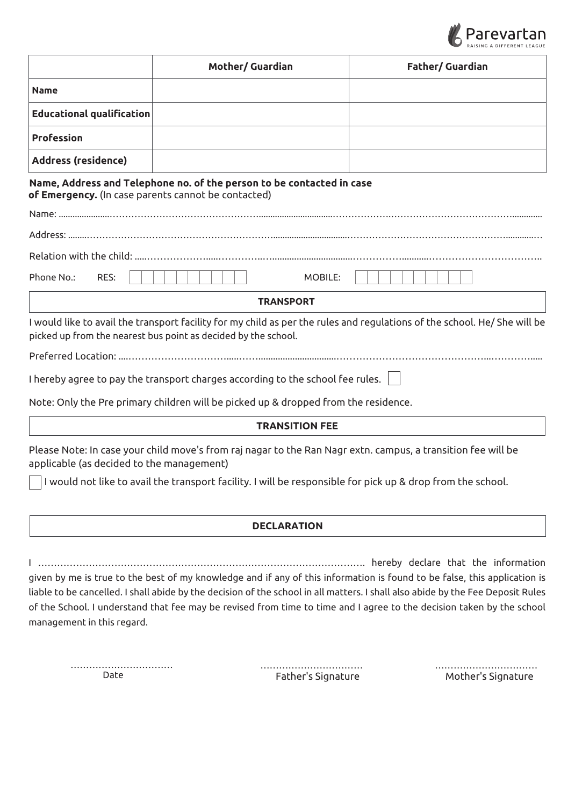

|                                                     | Mother/ Guardian                                                                                                                                                                                                                        | <b>Father/ Guardian</b>                                                                                                                                                                                                                                                                                                                                                              |
|-----------------------------------------------------|-----------------------------------------------------------------------------------------------------------------------------------------------------------------------------------------------------------------------------------------|--------------------------------------------------------------------------------------------------------------------------------------------------------------------------------------------------------------------------------------------------------------------------------------------------------------------------------------------------------------------------------------|
| <b>Name</b>                                         |                                                                                                                                                                                                                                         |                                                                                                                                                                                                                                                                                                                                                                                      |
| <b>Educational qualification</b>                    |                                                                                                                                                                                                                                         |                                                                                                                                                                                                                                                                                                                                                                                      |
| <b>Profession</b>                                   |                                                                                                                                                                                                                                         |                                                                                                                                                                                                                                                                                                                                                                                      |
| <b>Address (residence)</b>                          |                                                                                                                                                                                                                                         |                                                                                                                                                                                                                                                                                                                                                                                      |
| of Emergency. (In case parents cannot be contacted) | Name, Address and Telephone no. of the person to be contacted in case                                                                                                                                                                   |                                                                                                                                                                                                                                                                                                                                                                                      |
|                                                     |                                                                                                                                                                                                                                         |                                                                                                                                                                                                                                                                                                                                                                                      |
|                                                     |                                                                                                                                                                                                                                         |                                                                                                                                                                                                                                                                                                                                                                                      |
|                                                     |                                                                                                                                                                                                                                         |                                                                                                                                                                                                                                                                                                                                                                                      |
| Phone No.:<br>RES:                                  | MOBILE:                                                                                                                                                                                                                                 |                                                                                                                                                                                                                                                                                                                                                                                      |
|                                                     | <b>TRANSPORT</b>                                                                                                                                                                                                                        |                                                                                                                                                                                                                                                                                                                                                                                      |
|                                                     | picked up from the nearest bus point as decided by the school.<br>I hereby agree to pay the transport charges according to the school fee rules.<br>Note: Only the Pre primary children will be picked up & dropped from the residence. | I would like to avail the transport facility for my child as per the rules and regulations of the school. He/ She will be                                                                                                                                                                                                                                                            |
|                                                     | <b>TRANSITION FEE</b>                                                                                                                                                                                                                   |                                                                                                                                                                                                                                                                                                                                                                                      |
| applicable (as decided to the management)           | Please Note: In case your child move's from raj nagar to the Ran Nagr extn. campus, a transition fee will be                                                                                                                            |                                                                                                                                                                                                                                                                                                                                                                                      |
|                                                     | I would not like to avail the transport facility. I will be responsible for pick up & drop from the school.                                                                                                                             |                                                                                                                                                                                                                                                                                                                                                                                      |
|                                                     | <b>DECLARATION</b>                                                                                                                                                                                                                      |                                                                                                                                                                                                                                                                                                                                                                                      |
|                                                     |                                                                                                                                                                                                                                         |                                                                                                                                                                                                                                                                                                                                                                                      |
| management in this regard.                          |                                                                                                                                                                                                                                         | given by me is true to the best of my knowledge and if any of this information is found to be false, this application is<br>liable to be cancelled. I shall abide by the decision of the school in all matters. I shall also abide by the Fee Deposit Rules<br>of the School. I understand that fee may be revised from time to time and I agree to the decision taken by the school |

 Date Mother's Signature Father's Signature ……………………………

…………………………… ……………………………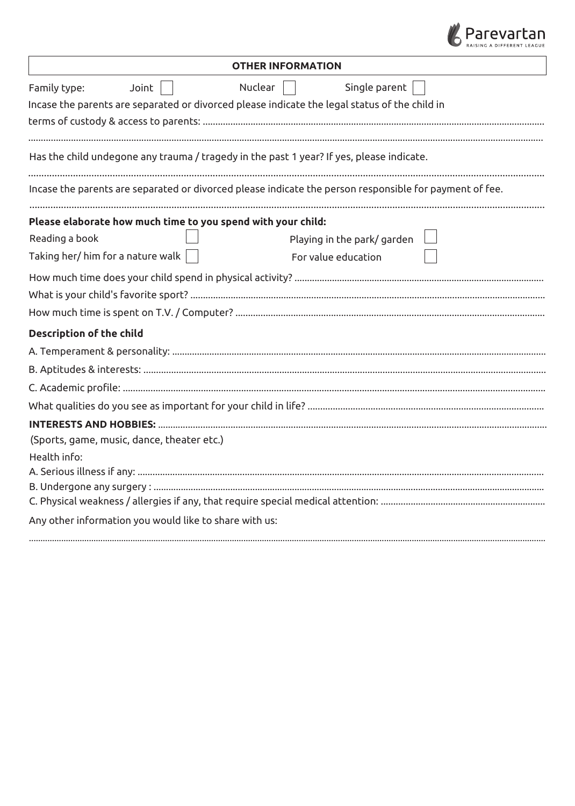

| <b>OTHER INFORMATION</b>                                                                                                                           |  |  |
|----------------------------------------------------------------------------------------------------------------------------------------------------|--|--|
| Single parent<br>Nuclear<br>Joint<br>Family type:<br>Incase the parents are separated or divorced please indicate the legal status of the child in |  |  |
|                                                                                                                                                    |  |  |
| Has the child undegone any trauma / tragedy in the past 1 year? If yes, please indicate.                                                           |  |  |
| Incase the parents are separated or divorced please indicate the person responsible for payment of fee.                                            |  |  |
| Please elaborate how much time to you spend with your child:                                                                                       |  |  |
| Reading a book<br>Playing in the park/garden                                                                                                       |  |  |
| Taking her/ him for a nature walk $ $<br>For value education                                                                                       |  |  |
|                                                                                                                                                    |  |  |
|                                                                                                                                                    |  |  |
|                                                                                                                                                    |  |  |
| <b>Description of the child</b>                                                                                                                    |  |  |
|                                                                                                                                                    |  |  |
|                                                                                                                                                    |  |  |
|                                                                                                                                                    |  |  |
|                                                                                                                                                    |  |  |
|                                                                                                                                                    |  |  |
| (Sports, game, music, dance, theater etc.)                                                                                                         |  |  |
| Health info:                                                                                                                                       |  |  |
|                                                                                                                                                    |  |  |
|                                                                                                                                                    |  |  |
|                                                                                                                                                    |  |  |
| Any other information you would like to share with us:                                                                                             |  |  |
|                                                                                                                                                    |  |  |